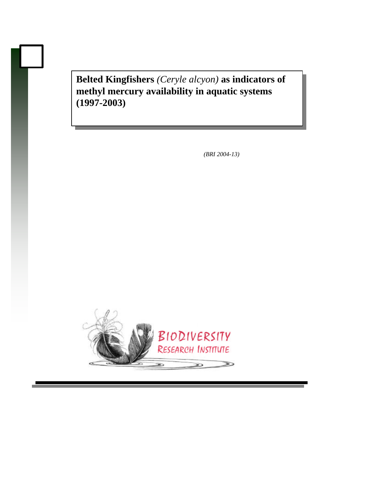**Belted Kingfishers** *(Ceryle alcyon)* **as indicators of methyl mercury availability in aquatic systems (1997-2003)**

 *(BRI 2004-13)*

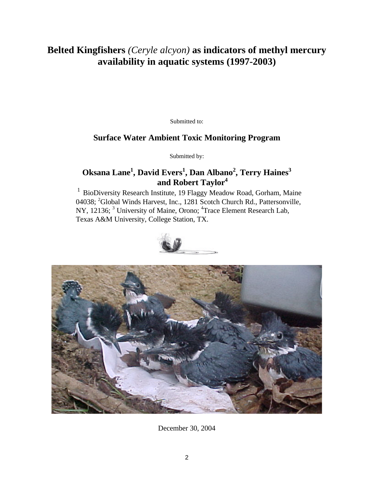# **Belted Kingfishers** *(Ceryle alcyon)* **as indicators of methyl mercury availability in aquatic systems (1997-2003)**

Submitted to:

# **Surface Water Ambient Toxic Monitoring Program**

Submitted by:

# **Oksana Lane<sup>1</sup> , David Evers<sup>1</sup> , Dan Albano<sup>2</sup> , Terry Haines<sup>3</sup> and Robert Taylor<sup>4</sup>**

 $1$  BioDiversity Research Institute, 19 Flaggy Meadow Road, Gorham, Maine 04038; <sup>2</sup>Global Winds Harvest, Inc., 1281 Scotch Church Rd., Pattersonville, NY, 12136;<sup>3</sup> University of Maine, Orono; <sup>4</sup>Trace Element Research Lab, Texas A&M University, College Station, TX.





December 30, 2004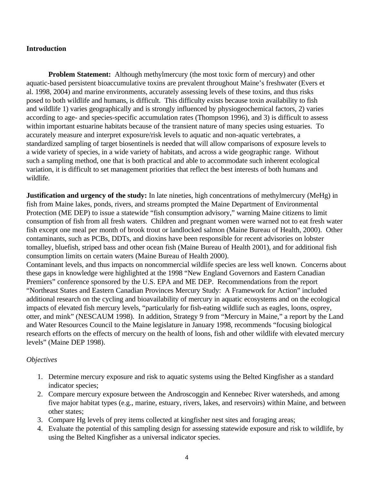## **Introduction**

**Problem Statement:** Although methylmercury (the most toxic form of mercury) and other aquatic-based persistent bioaccumulative toxins are prevalent throughout Maine's freshwater (Evers et al. 1998, 2004) and marine environments, accurately assessing levels of these toxins, and thus risks posed to both wildlife and humans, is difficult. This difficulty exists because toxin availability to fish and wildlife 1) varies geographically and is strongly influenced by physiogeochemical factors, 2) varies according to age- and species-specific accumulation rates (Thompson 1996), and 3) is difficult to assess within important estuarine habitats because of the transient nature of many species using estuaries. To accurately measure and interpret exposure/risk levels to aquatic and non-aquatic vertebrates, a standardized sampling of target biosentinels is needed that will allow comparisons of exposure levels to a wide variety of species, in a wide variety of habitats, and across a wide geographic range. Without such a sampling method, one that is both practical and able to accommodate such inherent ecological variation, it is difficult to set management priorities that reflect the best interests of both humans and wildlife.

**Justification and urgency of the study:** In late nineties, high concentrations of methylmercury (MeHg) in fish from Maine lakes, ponds, rivers, and streams prompted the Maine Department of Environmental Protection (ME DEP) to issue a statewide "fish consumption advisory," warning Maine citizens to limit consumption of fish from all fresh waters. Children and pregnant women were warned not to eat fresh water fish except one meal per month of brook trout or landlocked salmon (Maine Bureau of Health, 2000). Other contaminants, such as PCBs, DDTs, and dioxins have been responsible for recent advisories on lobster tomalley, bluefish, striped bass and other ocean fish (Maine Bureau of Health 2001), and for additional fish consumption limits on certain waters (Maine Bureau of Health 2000).

Contaminant levels, and thus impacts on noncommercial wildlife species are less well known. Concerns about these gaps in knowledge were highlighted at the 1998 "New England Governors and Eastern Canadian Premiers" conference sponsored by the U.S. EPA and ME DEP. Recommendations from the report "Northeast States and Eastern Canadian Provinces Mercury Study: A Framework for Action" included additional research on the cycling and bioavailability of mercury in aquatic ecosystems and on the ecological impacts of elevated fish mercury levels, "particularly for fish-eating wildlife such as eagles, loons, osprey, otter, and mink" (NESCAUM 1998). In addition, Strategy 9 from "Mercury in Maine," a report by the Land and Water Resources Council to the Maine legislature in January 1998, recommends "focusing biological research efforts on the effects of mercury on the health of loons, fish and other wildlife with elevated mercury levels" (Maine DEP 1998).

# *Objectives*

- 1. Determine mercury exposure and risk to aquatic systems using the Belted Kingfisher as a standard indicator species;
- 2. Compare mercury exposure between the Androscoggin and Kennebec River watersheds, and among five major habitat types (e.g., marine, estuary, rivers, lakes, and reservoirs) within Maine, and between other states;
- 3. Compare Hg levels of prey items collected at kingfisher nest sites and foraging areas;
- 4. Evaluate the potential of this sampling design for assessing statewide exposure and risk to wildlife, by using the Belted Kingfisher as a universal indicator species.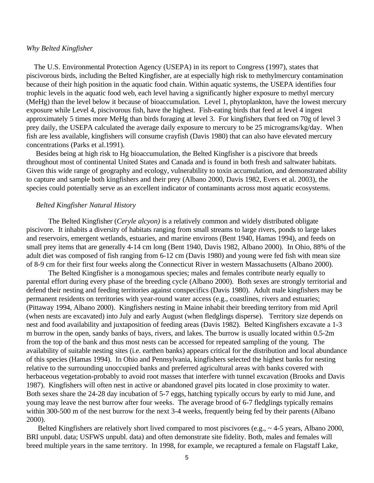## *Why Belted Kingfisher*

 The U.S. Environmental Protection Agency (USEPA) in its report to Congress (1997), states that piscivorous birds, including the Belted Kingfisher, are at especially high risk to methylmercury contamination because of their high position in the aquatic food chain. Within aquatic systems, the USEPA identifies four trophic levels in the aquatic food web, each level having a significantly higher exposure to methyl mercury (MeHg) than the level below it because of bioaccumulation. Level 1, phytoplankton, have the lowest mercury exposure while Level 4, piscivorous fish, have the highest. Fish-eating birds that feed at level 4 ingest approximately 5 times more MeHg than birds foraging at level 3. For kingfishers that feed on 70g of level 3 prey daily, the USEPA calculated the average daily exposure to mercury to be 25 micrograms/kg/day. When fish are less available, kingfishers will consume crayfish (Davis 1980) that can also have elevated mercury concentrations (Parks et al.1991).

 Besides being at high risk to Hg bioaccumulation, the Belted Kingfisher is a piscivore that breeds throughout most of continental United States and Canada and is found in both fresh and saltwater habitats. Given this wide range of geography and ecology, vulnerability to toxin accumulation, and demonstrated ability to capture and sample both kingfishers and their prey (Albano 2000, Davis 1982, Evers et al. 2003), the species could potentially serve as an excellent indicator of contaminants across most aquatic ecosystems.

### *Belted Kingfisher Natural History*

The Belted Kingfisher (*Ceryle alcyon)* is a relatively common and widely distributed obligate piscivore. It inhabits a diversity of habitats ranging from small streams to large rivers, ponds to large lakes and reservoirs, emergent wetlands, estuaries, and marine environs (Bent 1940, Hamas 1994), and feeds on small prey items that are generally 4-14 cm long (Bent 1940, Davis 1982, Albano 2000). In Ohio, 88% of the adult diet was composed of fish ranging from 6-12 cm (Davis 1980) and young were fed fish with mean size of 8-9 cm for their first four weeks along the Connecticut River in western Massachusetts (Albano 2000).

The Belted Kingfisher is a monogamous species; males and females contribute nearly equally to parental effort during every phase of the breeding cycle (Albano 2000). Both sexes are strongly territorial and defend their nesting and feeding territories against conspecifics (Davis 1980). Adult male kingfishers may be permanent residents on territories with year-round water access (e.g., coastlines, rivers and estuaries; (Pittaway 1994, Albano 2000). Kingfishers nesting in Maine inhabit their breeding territory from mid April (when nests are excavated) into July and early August (when fledglings disperse). Territory size depends on nest and food availability and juxtaposition of feeding areas (Davis 1982). Belted Kingfishers excavate a 1-3 m burrow in the open, sandy banks of bays, rivers, and lakes. The burrow is usually located within 0.5-2m from the top of the bank and thus most nests can be accessed for repeated sampling of the young. The availability of suitable nesting sites (i.e. earthen banks) appears critical for the distribution and local abundance of this species (Hamas 1994). In Ohio and Pennsylvania, kingfishers selected the highest banks for nesting relative to the surrounding unoccupied banks and preferred agricultural areas with banks covered with herbaceous vegetation-probably to avoid root masses that interfere with tunnel excavation (Brooks and Davis 1987). Kingfishers will often nest in active or abandoned gravel pits located in close proximity to water. Both sexes share the 24-28 day incubation of 5-7 eggs, hatching typically occurs by early to mid June, and young may leave the nest burrow after four weeks. The average brood of 6-7 fledglings typically remains within 300-500 m of the nest burrow for the next 3-4 weeks, frequently being fed by their parents (Albano 2000).

Belted Kingfishers are relatively short lived compared to most piscivores (e.g., ~4-5 years, Albano 2000, BRI unpubl. data; USFWS unpubl. data) and often demonstrate site fidelity. Both, males and females will breed multiple years in the same territory. In 1998, for example, we recaptured a female on Flagstaff Lake,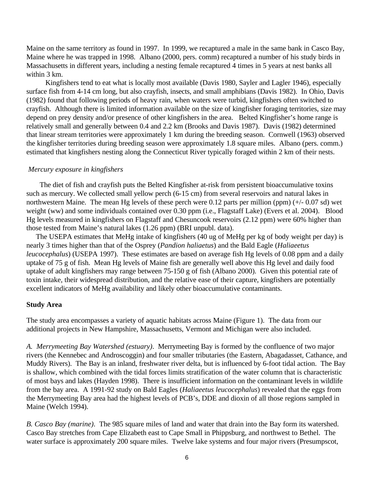Maine on the same territory as found in 1997. In 1999, we recaptured a male in the same bank in Casco Bay, Maine where he was trapped in 1998. Albano (2000, pers. comm) recaptured a number of his study birds in Massachusetts in different years, including a nesting female recaptured 4 times in 5 years at nest banks all within 3 km.

 Kingfishers tend to eat what is locally most available (Davis 1980, Sayler and Lagler 1946), especially surface fish from 4-14 cm long, but also crayfish, insects, and small amphibians (Davis 1982). In Ohio, Davis (1982) found that following periods of heavy rain, when waters were turbid, kingfishers often switched to crayfish. Although there is limited information available on the size of kingfisher foraging territories, size may depend on prey density and/or presence of other kingfishers in the area. Belted Kingfisher's home range is relatively small and generally between 0.4 and 2.2 km (Brooks and Davis 1987). Davis (1982) determined that linear stream territories were approximately 1 km during the breeding season. Cornwell (1963) observed the kingfisher territories during breeding season were approximately 1.8 square miles. Albano (pers. comm.) estimated that kingfishers nesting along the Connecticut River typically foraged within 2 km of their nests.

#### *Mercury exposure in kingfishers*

 The diet of fish and crayfish puts the Belted Kingfisher at-risk from persistent bioaccumulative toxins such as mercury. We collected small yellow perch (6-15 cm) from several reservoirs and natural lakes in northwestern Maine. The mean Hg levels of these perch were 0.12 parts per million (ppm)  $(+/- 0.07 \text{ sd})$  wet weight (ww) and some individuals contained over 0.30 ppm (i.e., Flagstaff Lake) (Evers et al. 2004). Blood Hg levels measured in kingfishers on Flagstaff and Chesuncook reservoirs (2.12 ppm) were 60% higher than those tested from Maine's natural lakes (1.26 ppm) (BRI unpubl. data).

 The USEPA estimates that MeHg intake of kingfishers (40 ug of MeHg per kg of body weight per day) is nearly 3 times higher than that of the Osprey (*Pandion haliaetus*) and the Bald Eagle (*Haliaeetus leucocephalus*) (USEPA 1997). These estimates are based on average fish Hg levels of 0.08 ppm and a daily uptake of 75 g of fish. Mean Hg levels of Maine fish are generally well above this Hg level and daily food uptake of adult kingfishers may range between 75-150 g of fish (Albano 2000). Given this potential rate of toxin intake, their widespread distribution, and the relative ease of their capture, kingfishers are potentially excellent indicators of MeHg availability and likely other bioaccumulative contaminants.

#### **Study Area**

The study area encompasses a variety of aquatic habitats across Maine (Figure 1). The data from our additional projects in New Hampshire, Massachusetts, Vermont and Michigan were also included.

*A. Merrymeeting Bay Watershed (estuary)*. Merrymeeting Bay is formed by the confluence of two major rivers (the Kennebec and Androscoggin) and four smaller tributaries (the Eastern, Abagadasset, Cathance, and Muddy Rivers). The Bay is an inland, freshwater river delta, but is influenced by 6-foot tidal action. The Bay is shallow, which combined with the tidal forces limits stratification of the water column that is characteristic of most bays and lakes (Hayden 1998). There is insufficient information on the contaminant levels in wildlife from the bay area. A 1991-92 study on Bald Eagles (*Haliaeetus leucocephalus*) revealed that the eggs from the Merrymeeting Bay area had the highest levels of PCB's, DDE and dioxin of all those regions sampled in Maine (Welch 1994).

*B. Casco Bay (marine)*. The 985 square miles of land and water that drain into the Bay form its watershed. Casco Bay stretches from Cape Elizabeth east to Cape Small in Phippsburg, and northwest to Bethel. The water surface is approximately 200 square miles. Twelve lake systems and four major rivers (Presumpscot,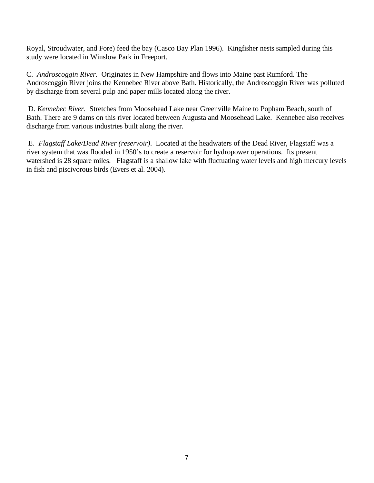Royal, Stroudwater, and Fore) feed the bay (Casco Bay Plan 1996). Kingfisher nests sampled during this study were located in Winslow Park in Freeport.

C. *Androscoggin River.* Originates in New Hampshire and flows into Maine past Rumford. The Androscoggin River joins the Kennebec River above Bath. Historically, the Androscoggin River was polluted by discharge from several pulp and paper mills located along the river.

 D. *Kennebec River.* Stretches from Moosehead Lake near Greenville Maine to Popham Beach, south of Bath. There are 9 dams on this river located between Augusta and Moosehead Lake. Kennebec also receives discharge from various industries built along the river.

 E. *Flagstaff Lake/Dead River (reservoir)*. Located at the headwaters of the Dead River, Flagstaff was a river system that was flooded in 1950's to create a reservoir for hydropower operations. Its present watershed is 28 square miles. Flagstaff is a shallow lake with fluctuating water levels and high mercury levels in fish and piscivorous birds (Evers et al. 2004).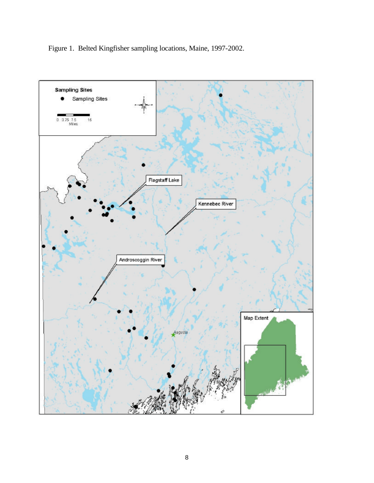

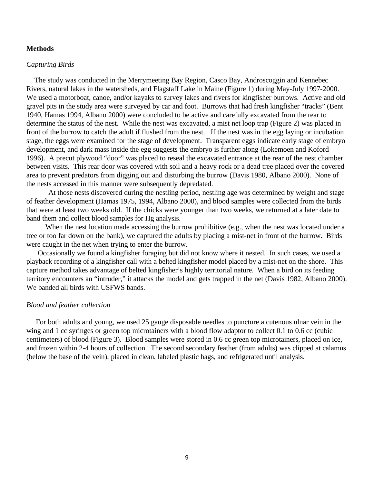## **Methods**

#### *Capturing Birds*

 The study was conducted in the Merrymeeting Bay Region, Casco Bay, Androscoggin and Kennebec Rivers, natural lakes in the watersheds, and Flagstaff Lake in Maine (Figure 1) during May-July 1997-2000. We used a motorboat, canoe, and/or kayaks to survey lakes and rivers for kingfisher burrows. Active and old gravel pits in the study area were surveyed by car and foot. Burrows that had fresh kingfisher "tracks" (Bent 1940, Hamas 1994, Albano 2000) were concluded to be active and carefully excavated from the rear to determine the status of the nest. While the nest was excavated, a mist net loop trap (Figure 2) was placed in front of the burrow to catch the adult if flushed from the nest. If the nest was in the egg laying or incubation stage, the eggs were examined for the stage of development. Transparent eggs indicate early stage of embryo development, and dark mass inside the egg suggests the embryo is further along (Lokemoen and Koford 1996). A precut plywood "door" was placed to reseal the excavated entrance at the rear of the nest chamber between visits. This rear door was covered with soil and a heavy rock or a dead tree placed over the covered area to prevent predators from digging out and disturbing the burrow (Davis 1980, Albano 2000). None of the nests accessed in this manner were subsequently depredated.

At those nests discovered during the nestling period, nestling age was determined by weight and stage of feather development (Hamas 1975, 1994, Albano 2000), and blood samples were collected from the birds that were at least two weeks old. If the chicks were younger than two weeks, we returned at a later date to band them and collect blood samples for Hg analysis.

When the nest location made accessing the burrow prohibitive (e.g., when the nest was located under a tree or too far down on the bank), we captured the adults by placing a mist-net in front of the burrow. Birds were caught in the net when trying to enter the burrow.

 Occasionally we found a kingfisher foraging but did not know where it nested. In such cases, we used a playback recording of a kingfisher call with a belted kingfisher model placed by a mist-net on the shore. This capture method takes advantage of belted kingfisher's highly territorial nature. When a bird on its feeding territory encounters an "intruder," it attacks the model and gets trapped in the net (Davis 1982, Albano 2000). We banded all birds with USFWS bands.

## *Blood and feather collection*

 For both adults and young, we used 25 gauge disposable needles to puncture a cutenous ulnar vein in the wing and 1 cc syringes or green top microtainers with a blood flow adaptor to collect 0.1 to 0.6 cc (cubic centimeters) of blood (Figure 3). Blood samples were stored in 0.6 cc green top microtainers, placed on ice, and frozen within 2-4 hours of collection. The second secondary feather (from adults) was clipped at calamus (below the base of the vein), placed in clean, labeled plastic bags, and refrigerated until analysis.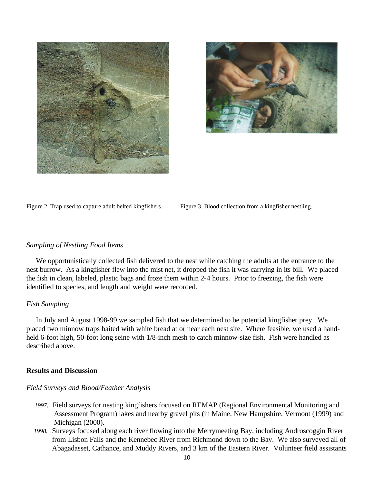



Figure 2. Trap used to capture adult belted kingfishers. Figure 3. Blood collection from a kingfisher nestling.

## *Sampling of Nestling Food Items*

 We opportunistically collected fish delivered to the nest while catching the adults at the entrance to the nest burrow. As a kingfisher flew into the mist net, it dropped the fish it was carrying in its bill. We placed the fish in clean, labeled, plastic bags and froze them within 2-4 hours. Prior to freezing, the fish were identified to species, and length and weight were recorded.

#### *Fish Sampling*

 In July and August 1998-99 we sampled fish that we determined to be potential kingfisher prey. We placed two minnow traps baited with white bread at or near each nest site. Where feasible, we used a handheld 6-foot high, 50-foot long seine with 1/8-inch mesh to catch minnow-size fish. Fish were handled as described above.

## **Results and Discussion**

#### *Field Surveys and Blood/Feather Analysis*

- *1997.* Field surveys for nesting kingfishers focused on REMAP (Regional Environmental Monitoring and Assessment Program) lakes and nearby gravel pits (in Maine, New Hampshire, Vermont (1999) and Michigan (2000).
- *1998.* Surveys focused along each river flowing into the Merrymeeting Bay, including Androscoggin River from Lisbon Falls and the Kennebec River from Richmond down to the Bay. We also surveyed all of Abagadasset, Cathance, and Muddy Rivers, and 3 km of the Eastern River. Volunteer field assistants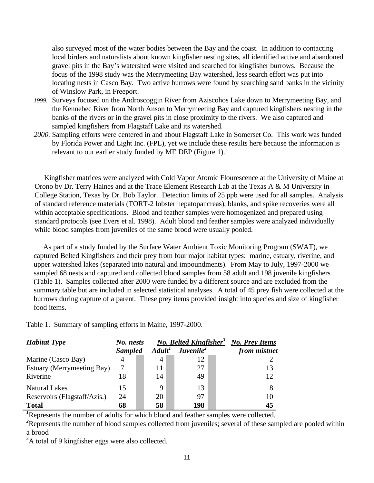also surveyed most of the water bodies between the Bay and the coast. In addition to contacting local birders and naturalists about known kingfisher nesting sites, all identified active and abandoned gravel pits in the Bay's watershed were visited and searched for kingfisher burrows. Because the focus of the 1998 study was the Merrymeeting Bay watershed, less search effort was put into locating nests in Casco Bay. Two active burrows were found by searching sand banks in the vicinity of Winslow Park, in Freeport.

- *1999.* Surveys focused on the Androscoggin River from Aziscohos Lake down to Merrymeeting Bay, and the Kennebec River from North Anson to Merrymeeting Bay and captured kingfishers nesting in the banks of the rivers or in the gravel pits in close proximity to the rivers. We also captured and sampled kingfishers from Flagstaff Lake and its watershed.
- *2000.* Sampling efforts were centered in and about Flagstaff Lake in Somerset Co. This work was funded by Florida Power and Light Inc. (FPL), yet we include these results here because the information is relevant to our earlier study funded by ME DEP (Figure 1).

 Kingfisher matrices were analyzed with Cold Vapor Atomic Flourescence at the University of Maine at Orono by Dr. Terry Haines and at the Trace Element Research Lab at the Texas A & M University in College Station, Texas by Dr. Bob Taylor. Detection limits of 25 ppb were used for all samples. Analysis of standard reference materials (TORT-2 lobster hepatopancreas), blanks, and spike recoveries were all within acceptable specifications. Blood and feather samples were homogenized and prepared using standard protocols (see Evers et al. 1998). Adult blood and feather samples were analyzed individually while blood samples from juveniles of the same brood were usually pooled.

 As part of a study funded by the Surface Water Ambient Toxic Monitoring Program (SWAT), we captured Belted Kingfishers and their prey from four major habitat types: marine, estuary, riverine, and upper watershed lakes (separated into natural and impoundments). From May to July, 1997-2000 we sampled 68 nests and captured and collected blood samples from 58 adult and 198 juvenile kingfishers (Table 1). Samples collected after 2000 were funded by a different source and are excluded from the summary table but are included in selected statistical analyses. A total of 45 prey fish were collected at the burrows during capture of a parent. These prey items provided insight into species and size of kingfisher food items.

Table 1.Summary of sampling efforts in Maine, 1997-2000.

| <b>Habitat Type</b>          | No. nests      |                     | <b>No. Belted Kingfisher<sup>3</sup></b> | <b>No. Prey Items</b> |
|------------------------------|----------------|---------------------|------------------------------------------|-----------------------|
|                              | <b>Sampled</b> | A dult <sup>1</sup> | Juvenile <sup>2</sup>                    | from mistnet          |
| Marine (Casco Bay)           | 4              | 4                   | 12                                       |                       |
| Estuary (Merrymeeting Bay)   | 7              | 11                  | 27                                       | 13                    |
| Riverine                     | 18             | 14                  | 49                                       | 12                    |
| <b>Natural Lakes</b>         | 15             | 9                   | 13                                       |                       |
| Reservoirs (Flagstaff/Azis.) | 24             | 20                  | 97                                       | 10                    |
| <b>Total</b>                 | 68             | 58                  | 198                                      | 45                    |

<sup>*I*</sup>Represents the number of adults for which blood and feather samples were collected.

<sup>2</sup>Represents the number of blood samples collected from juveniles; several of these sampled are pooled within a brood

<sup>3</sup>A total of 9 kingfisher eggs were also collected.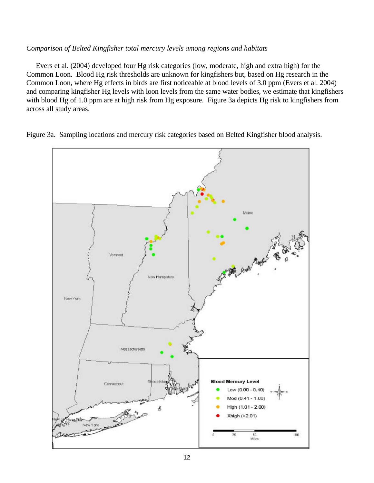## *Comparison of Belted Kingfisher total mercury levels among regions and habitats*

 Evers et al. (2004) developed four Hg risk categories (low, moderate, high and extra high) for the Common Loon. Blood Hg risk thresholds are unknown for kingfishers but, based on Hg research in the Common Loon, where Hg effects in birds are first noticeable at blood levels of 3.0 ppm (Evers et al. 2004) and comparing kingfisher Hg levels with loon levels from the same water bodies, we estimate that kingfishers with blood Hg of 1.0 ppm are at high risk from Hg exposure. Figure 3a depicts Hg risk to kingfishers from across all study areas.

Figure 3a. Sampling locations and mercury risk categories based on Belted Kingfisher blood analysis.

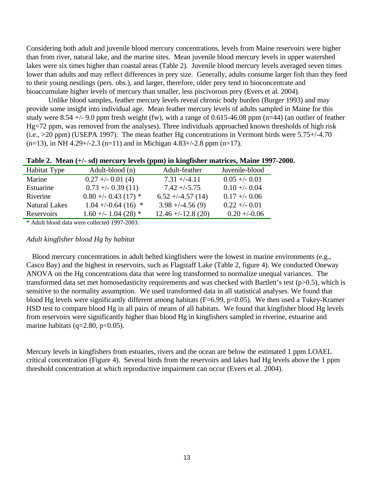Considering both adult and juvenile blood mercury concentrations, levels from Maine reservoirs were higher than from river, natural lake, and the marine sites. Mean juvenile blood mercury levels in upper watershed lakes were six times higher than coastal areas (Table 2). Juvenile blood mercury levels averaged seven times lower than adults and may reflect differences in prey size. Generally, adults consume larger fish than they feed to their young nestlings (pers. obs.), and larger, therefore, older prey tend to bioconcentrate and bioaccumulate higher levels of mercury than smaller, less piscivorous prey (Evers et al. 2004).

Unlike blood samples, feather mercury levels reveal chronic body burden (Burger 1993) and may provide some insight into individual age. Mean feather mercury levels of adults sampled in Maine for this study were 8.54 +/- 9.0 ppm fresh weight (fw), with a range of 0.615-46.08 ppm (n=44) (an outlier of feather Hg=72 ppm, was removed from the analyses). Three individuals approached known thresholds of high risk (i.e., >20 ppm) (USEPA 1997). The mean feather Hg concentrations in Vermont birds were 5.75+/-4.70  $(n=13)$ , in NH 4.29+/-2.3 (n=11) and in Michigan 4.83+/-2.8 ppm (n=17).

| <b>Habitat Type</b>  | Adult-blood (n)       | Adult-feather        | Juvenile-blood  |
|----------------------|-----------------------|----------------------|-----------------|
| Marine               | $0.27 + -0.01(4)$     | $7.31 + (-4.11)$     | $0.05 + -0.01$  |
| Estuarine            | $0.73 + -0.39(11)$    | $7.42 + (-5.75)$     | $0.10 + - 0.04$ |
| Riverine             | $0.80 + -0.43(17)$ *  | $6.52 + (-4.57)(14)$ | $0.17 + -0.06$  |
| <b>Natural Lakes</b> | $1.04 + (-0.64(16) *$ | $3.98 + (-4.56(9))$  | $0.22 + -0.01$  |
| Reservoirs           | $1.60 + - 1.04(28)$ * | $12.46 + -12.8(20)$  | $0.20 + (-0.06$ |

|  |  |  |  |  | Table 2. Mean (+/- sd) mercury levels (ppm) in kingfisher matrices, Maine 1997-2000. |
|--|--|--|--|--|--------------------------------------------------------------------------------------|
|  |  |  |  |  |                                                                                      |

\* Adult blood data were collected 1997-2003.

### *Adult kingfisher blood Hg by habitat*

Blood mercury concentrations in adult belted kingfishers were the lowest in marine environments (e.g., Casco Bay) and the highest in reservoirs, such as Flagstaff Lake (Table 2, figure 4). We conducted Oneway ANOVA on the Hg concentrations data that were log transformed to normalize unequal variances. The transformed data set met homosedasticity requirements and was checked with Bartlett's test (p>0.5), which is sensitive to the normality assumption. We used transformed data in all statistical analyses. We found that blood Hg levels were significantly different among habitats ( $F=6.99$ ,  $p<0.05$ ). We then used a Tukey-Kramer HSD test to compare blood Hg in all pairs of means of all habitats. We found that kingfisher blood Hg levels from reservoirs were significantly higher than blood Hg in kingfishers sampled in riverine, estuarine and marine habitats (q=2.80, p<0.05).

Mercury levels in kingfishers from estuaries, rivers and the ocean are below the estimated 1 ppm LOAEL critical concentration (Figure 4). Several birds from the reservoirs and lakes had Hg levels above the 1 ppm threshold concentration at which reproductive impairment can occur (Evers et al. 2004).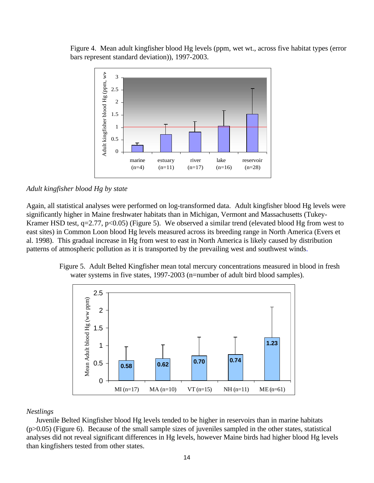Figure 4. Mean adult kingfisher blood Hg levels (ppm, wet wt., across five habitat types (error bars represent standard deviation)), 1997-2003.



*Adult kingfisher blood Hg by state*

Again, all statistical analyses were performed on log-transformed data. Adult kingfisher blood Hg levels were significantly higher in Maine freshwater habitats than in Michigan, Vermont and Massachusetts (Tukey-Kramer HSD test,  $q=2.77$ ,  $p<0.05$ ) (Figure 5). We observed a similar trend (elevated blood Hg from west to east sites) in Common Loon blood Hg levels measured across its breeding range in North America (Evers et al. 1998). This gradual increase in Hg from west to east in North America is likely caused by distribution patterns of atmospheric pollution as it is transported by the prevailing west and southwest winds.

> Figure 5. Adult Belted Kingfisher mean total mercury concentrations measured in blood in fresh water systems in five states, 1997-2003 (n=number of adult bird blood samples).



## *Nestlings*

 Juvenile Belted Kingfisher blood Hg levels tended to be higher in reservoirs than in marine habitats (p>0.05) (Figure 6). Because of the small sample sizes of juveniles sampled in the other states, statistical analyses did not reveal significant differences in Hg levels, however Maine birds had higher blood Hg levels than kingfishers tested from other states.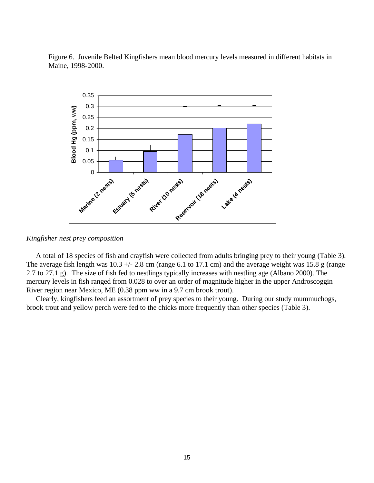Figure 6. Juvenile Belted Kingfishers mean blood mercury levels measured in different habitats in Maine, 1998-2000.



*Kingfisher nest prey composition*

 A total of 18 species of fish and crayfish were collected from adults bringing prey to their young (Table 3). The average fish length was  $10.3 +/- 2.8$  cm (range 6.1 to 17.1 cm) and the average weight was 15.8 g (range 2.7 to 27.1 g). The size of fish fed to nestlings typically increases with nestling age (Albano 2000). The mercury levels in fish ranged from 0.028 to over an order of magnitude higher in the upper Androscoggin River region near Mexico, ME (0.38 ppm ww in a 9.7 cm brook trout).

 Clearly, kingfishers feed an assortment of prey species to their young. During our study mummuchogs, brook trout and yellow perch were fed to the chicks more frequently than other species (Table 3).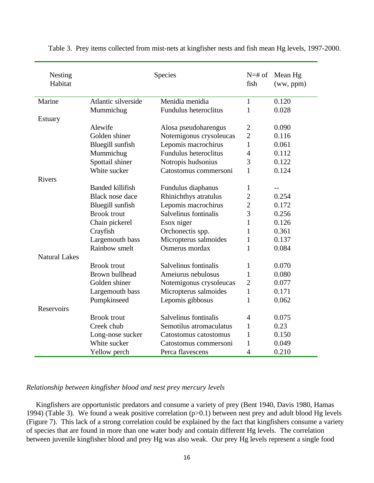| Nesting<br>Habitat   | Species                 |                         |                | Mean Hg<br>(ww, ppm) |
|----------------------|-------------------------|-------------------------|----------------|----------------------|
| Marine               | Atlantic silverside     | Menidia menidia         | $\mathbf{1}$   | 0.120                |
|                      | Mummichug               | Fundulus heteroclitus   | $\mathbf{1}$   | 0.028                |
| Estuary              |                         |                         |                |                      |
|                      | Alewife                 | Alosa pseudoharengus    | $\mathbf{2}$   | 0.090                |
|                      | Golden shiner           | Notemigonus crysoleucas | $\overline{2}$ | 0.116                |
|                      | Bluegill sunfish        | Lepomis macrochirus     | 1              | 0.061                |
|                      | Mummichug               | Fundulus heteroclitus   | 4              | 0.112                |
|                      | Spottail shiner         | Notropis hudsonius      | 3              | 0.122                |
|                      | White sucker            | Catostomus commersoni   | 1              | 0.124                |
| <b>Rivers</b>        |                         |                         |                |                      |
|                      | <b>Banded killifish</b> | Fundulus diaphanus      | 1              |                      |
|                      | Black nose dace         | Rhinichthys atratulus   | $\overline{c}$ | 0.254                |
|                      | Bluegill sunfish        | Lepomis macrochirus     | $\overline{c}$ | 0.172                |
|                      | <b>Brook</b> trout      | Salvelinus fontinalis   | 3              | 0.256                |
|                      | Chain pickerel          | Esox niger              | $\mathbf{1}$   | 0.126                |
|                      | Crayfish                | Orchonectis spp.        | $\mathbf{1}$   | 0.361                |
|                      | Largemouth bass         | Micropterus salmoides   | $\mathbf{1}$   | 0.137                |
|                      | Rainbow smelt           | Osmerus mordax          | 1              | 0.084                |
| <b>Natural Lakes</b> |                         |                         |                |                      |
|                      | <b>Brook</b> trout      | Salvelinus fontinalis   | 1              | 0.070                |
|                      | Brown bullhead          | Ameiurus nebulosus      | $\mathbf{1}$   | 0.080                |
|                      | Golden shiner           | Notemigonus crysoleucas | $\overline{2}$ | 0.077                |
|                      | Largemouth bass         | Micropterus salmoides   | $\mathbf{1}$   | 0.171                |
|                      | Pumpkinseed             | Lepomis gibbosus        | $\mathbf{1}$   | 0.062                |
| <b>Reservoirs</b>    |                         |                         |                |                      |
|                      | <b>Brook</b> trout      | Salvelinus fontinalis   | $\overline{4}$ | 0.075                |
|                      | Creek chub              | Semotilus atromaculatus | 1              | 0.23                 |
|                      | Long-nose sucker        | Catostomus catostomus   | 1              | 0.150                |
|                      | White sucker            | Catostomus commersoni   | $\mathbf{1}$   | 0.049                |
|                      | Yellow perch            | Perca flavescens        | $\overline{4}$ | 0.210                |

Table 3. Prey items collected from mist-nets at kingfisher nests and fish mean Hg levels, 1997-2000.

## *Relationship between kingfisher blood and nest prey mercury levels*

 Kingfishers are opportunistic predators and consume a variety of prey (Bent 1940, Davis 1980, Hamas 1994) (Table 3). We found a weak positive correlation (p>0.1) between nest prey and adult blood Hg levels (Figure 7). This lack of a strong correlation could be explained by the fact that kingfishers consume a variety of species that are found in more than one water body and contain different Hg levels. The correlation between juvenile kingfisher blood and prey Hg was also weak. Our prey Hg levels represent a single food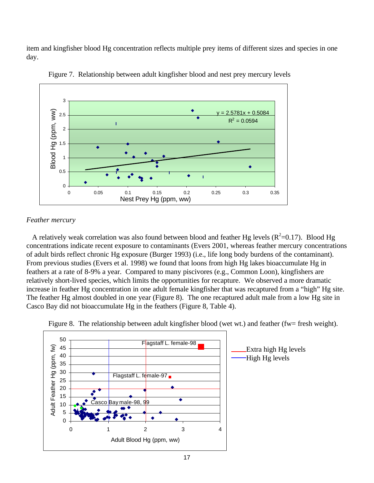item and kingfisher blood Hg concentration reflects multiple prey items of different sizes and species in one day.



Figure 7. Relationship between adult kingfisher blood and nest prey mercury levels

## *Feather mercury*

A relatively weak correlation was also found between blood and feather Hg levels ( $R^2$ =0.17). Blood Hg concentrations indicate recent exposure to contaminants (Evers 2001, whereas feather mercury concentrations of adult birds reflect chronic Hg exposure (Burger 1993) (i.e., life long body burdens of the contaminant). From previous studies (Evers et al. 1998) we found that loons from high Hg lakes bioaccumulate Hg in feathers at a rate of 8-9% a year. Compared to many piscivores (e.g., Common Loon), kingfishers are relatively short-lived species, which limits the opportunities for recapture. We observed a more dramatic increase in feather Hg concentration in one adult female kingfisher that was recaptured from a "high" Hg site. The feather Hg almost doubled in one year (Figure 8). The one recaptured adult male from a low Hg site in Casco Bay did not bioaccumulate Hg in the feathers (Figure 8, Table 4).



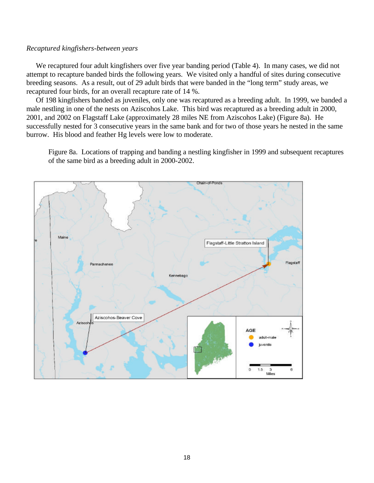## *Recaptured kingfishers-between years*

 We recaptured four adult kingfishers over five year banding period (Table 4). In many cases, we did not attempt to recapture banded birds the following years. We visited only a handful of sites during consecutive breeding seasons. As a result, out of 29 adult birds that were banded in the "long term" study areas, we recaptured four birds, for an overall recapture rate of 14 %.

Of 198 kingfishers banded as juveniles, only one was recaptured as a breeding adult. In 1999, we banded a male nestling in one of the nests on Aziscohos Lake. This bird was recaptured as a breeding adult in 2000, 2001, and 2002 on Flagstaff Lake (approximately 28 miles NE from Aziscohos Lake) (Figure 8a). He successfully nested for 3 consecutive years in the same bank and for two of those years he nested in the same burrow. His blood and feather Hg levels were low to moderate.

Figure 8a. Locations of trapping and banding a nestling kingfisher in 1999 and subsequent recaptures of the same bird as a breeding adult in 2000-2002.

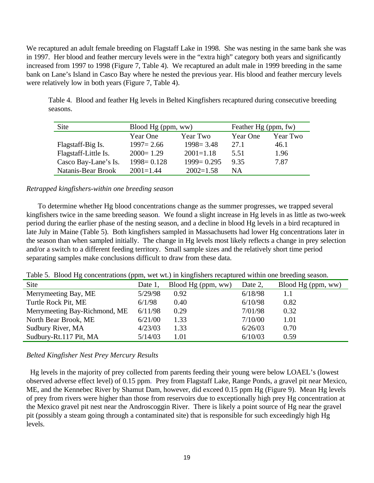We recaptured an adult female breeding on Flagstaff Lake in 1998. She was nesting in the same bank she was in 1997. Her blood and feather mercury levels were in the "extra high" category both years and significantly increased from 1997 to 1998 (Figure 7, Table 4). We recaptured an adult male in 1999 breeding in the same bank on Lane's Island in Casco Bay where he nested the previous year. His blood and feather mercury levels were relatively low in both years (Figure 7, Table 4).

Table 4. Blood and feather Hg levels in Belted Kingfishers recaptured during consecutive breeding seasons.

| Site                 | Blood Hg (ppm, ww)   |                | Feather Hg (ppm, fw) |          |  |
|----------------------|----------------------|----------------|----------------------|----------|--|
|                      | Year One<br>Year Two |                | Year One             | Year Two |  |
| Flagstaff-Big Is.    | $1997 = 2.66$        | $1998 = 3.48$  | 27.1                 | 46.1     |  |
| Flagstaff-Little Is. | $2000 = 1.29$        | $2001 = 1.18$  | 5.51                 | 1.96     |  |
| Casco Bay-Lane's Is. | $1998 = 0.128$       | $1999 = 0.295$ | 9.35                 | 7.87     |  |
| Natanis-Bear Brook   | $2001 = 1.44$        | $2002=1.58$    | ΝA                   |          |  |

## *Retrapped kingfishers-within one breeding season*

 To determine whether Hg blood concentrations change as the summer progresses, we trapped several kingfishers twice in the same breeding season. We found a slight increase in Hg levels in as little as two-week period during the earlier phase of the nesting season, and a decline in blood Hg levels in a bird recaptured in late July in Maine (Table 5). Both kingfishers sampled in Massachusetts had lower Hg concentrations later in the season than when sampled initially. The change in Hg levels most likely reflects a change in prey selection and/or a switch to a different feeding territory. Small sample sizes and the relatively short time period separating samples make conclusions difficult to draw from these data.

Table 5. Blood Hg concentrations (ppm, wet wt.) in kingfishers recaptured within one breeding season.

| Site                          | Date 1, | Blood Hg (ppm, ww) | Date 2, | Blood Hg (ppm, ww) |
|-------------------------------|---------|--------------------|---------|--------------------|
| Merrymeeting Bay, ME          | 5/29/98 | 0.92               | 6/18/98 |                    |
| Turtle Rock Pit, ME           | 6/1/98  | 0.40               | 6/10/98 | 0.82               |
| Merrymeeting Bay-Richmond, ME | 6/11/98 | 0.29               | 7/01/98 | 0.32               |
| North Bear Brook, ME          | 6/21/00 | 1.33               | 7/10/00 | 1.01               |
| Sudbury River, MA             | 4/23/03 | 1.33               | 6/26/03 | 0.70               |
| Sudbury-Rt.117 Pit, MA        | 5/14/03 | 1.01               | 6/10/03 | 0.59               |

## *Belted Kingfisher Nest Prey Mercury Results*

 Hg levels in the majority of prey collected from parents feeding their young were below LOAEL's (lowest observed adverse effect level) of 0.15 ppm. Prey from Flagstaff Lake, Range Ponds, a gravel pit near Mexico, ME, and the Kennebec River by Shamut Dam, however, did exceed 0.15 ppm Hg (Figure 9). Mean Hg levels of prey from rivers were higher than those from reservoirs due to exceptionally high prey Hg concentration at the Mexico gravel pit nest near the Androscoggin River. There is likely a point source of Hg near the gravel pit (possibly a steam going through a contaminated site) that is responsible for such exceedingly high Hg levels.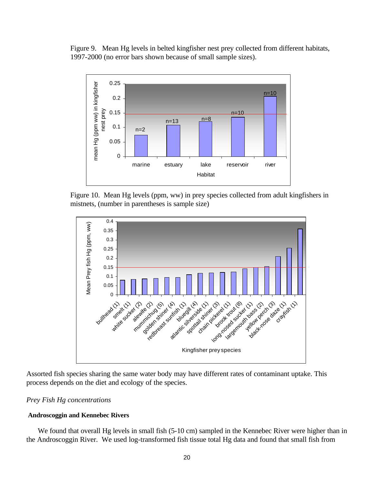Figure 9. Mean Hg levels in belted kingfisher nest prey collected from different habitats, 1997-2000 (no error bars shown because of small sample sizes).



Figure 10. Mean Hg levels (ppm, ww) in prey species collected from adult kingfishers in mistnets, (number in parentheses is sample size)





# *Prey Fish Hg concentrations*

## **Androscoggin and Kennebec Rivers**

We found that overall Hg levels in small fish (5-10 cm) sampled in the Kennebec River were higher than in the Androscoggin River. We used log-transformed fish tissue total Hg data and found that small fish from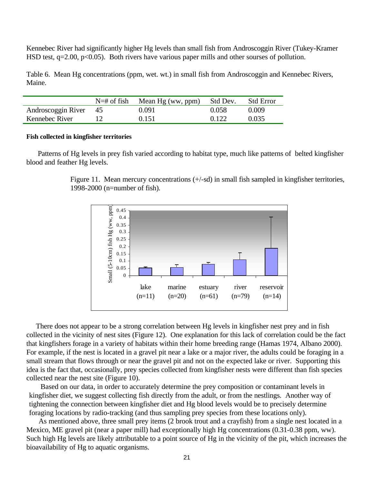Kennebec River had significantly higher Hg levels than small fish from Androscoggin River (Tukey-Kramer HSD test,  $q=2.00$ ,  $p<0.05$ ). Both rivers have various paper mills and other sourses of pollution.

Table 6. Mean Hg concentrations (ppm, wet. wt.) in small fish from Androscoggin and Kennebec Rivers, Maine.

|                       | $N=\#$ of fish Mean Hg (ww, ppm) | Std Dev. | <b>Std Error</b> |
|-----------------------|----------------------------------|----------|------------------|
| Androscoggin River 45 | 0.091                            | 0.058    | 0.009            |
| Kennebec River        | 0.151                            | 0.122    | 0.035            |

#### **Fish collected in kingfisher territories**

 Patterns of Hg levels in prey fish varied according to habitat type, much like patterns of belted kingfisher blood and feather Hg levels.

> Figure 11. Mean mercury concentrations (+/-sd) in small fish sampled in kingfisher territories, 1998-2000 (n=number of fish).



There does not appear to be a strong correlation between Hg levels in kingfisher nest prey and in fish collected in the vicinity of nest sites (Figure 12). One explanation for this lack of correlation could be the fact that kingfishers forage in a variety of habitats within their home breeding range (Hamas 1974, Albano 2000). For example, if the nest is located in a gravel pit near a lake or a major river, the adults could be foraging in a small stream that flows through or near the gravel pit and not on the expected lake or river. Supporting this idea is the fact that, occasionally, prey species collected from kingfisher nests were different than fish species collected near the nest site (Figure 10).

 Based on our data, in order to accurately determine the prey composition or contaminant levels in kingfisher diet, we suggest collecting fish directly from the adult, or from the nestlings. Another way of tightening the connection between kingfisher diet and Hg blood levels would be to precisely determine foraging locations by radio-tracking (and thus sampling prey species from these locations only).

 As mentioned above, three small prey items (2 brook trout and a crayfish) from a single nest located in a Mexico, ME gravel pit (near a paper mill) had exceptionally high Hg concentrations (0.31-0.38 ppm, ww). Such high Hg levels are likely attributable to a point source of Hg in the vicinity of the pit, which increases the bioavailability of Hg to aquatic organisms.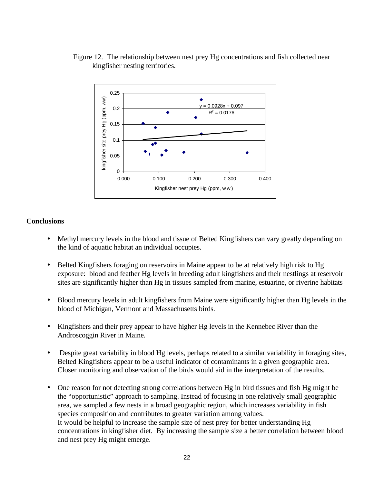



# **Conclusions**

- Methyl mercury levels in the blood and tissue of Belted Kingfishers can vary greatly depending on the kind of aquatic habitat an individual occupies.
- Belted Kingfishers foraging on reservoirs in Maine appear to be at relatively high risk to Hg exposure: blood and feather Hg levels in breeding adult kingfishers and their nestlings at reservoir sites are significantly higher than Hg in tissues sampled from marine, estuarine, or riverine habitats
- Blood mercury levels in adult kingfishers from Maine were significantly higher than Hg levels in the blood of Michigan, Vermont and Massachusetts birds.
- Kingfishers and their prey appear to have higher Hg levels in the Kennebec River than the Androscoggin River in Maine.
- Despite great variability in blood Hg levels, perhaps related to a similar variability in foraging sites, Belted Kingfishers appear to be a useful indicator of contaminants in a given geographic area. Closer monitoring and observation of the birds would aid in the interpretation of the results.
- One reason for not detecting strong correlations between Hg in bird tissues and fish Hg might be the "opportunistic" approach to sampling. Instead of focusing in one relatively small geographic area, we sampled a few nests in a broad geographic region, which increases variability in fish species composition and contributes to greater variation among values. It would be helpful to increase the sample size of nest prey for better understanding Hg concentrations in kingfisher diet. By increasing the sample size a better correlation between blood and nest prey Hg might emerge.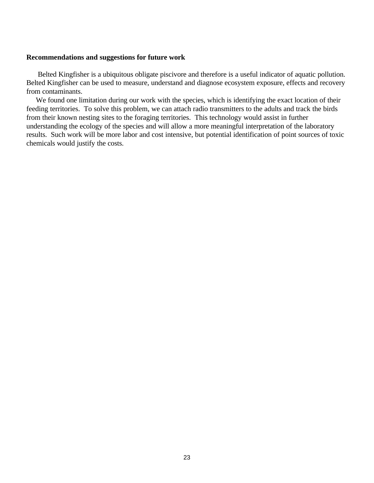## **Recommendations and suggestions for future work**

 Belted Kingfisher is a ubiquitous obligate piscivore and therefore is a useful indicator of aquatic pollution. Belted Kingfisher can be used to measure, understand and diagnose ecosystem exposure, effects and recovery from contaminants.

We found one limitation during our work with the species, which is identifying the exact location of their feeding territories. To solve this problem, we can attach radio transmitters to the adults and track the birds from their known nesting sites to the foraging territories. This technology would assist in further understanding the ecology of the species and will allow a more meaningful interpretation of the laboratory results. Such work will be more labor and cost intensive, but potential identification of point sources of toxic chemicals would justify the costs.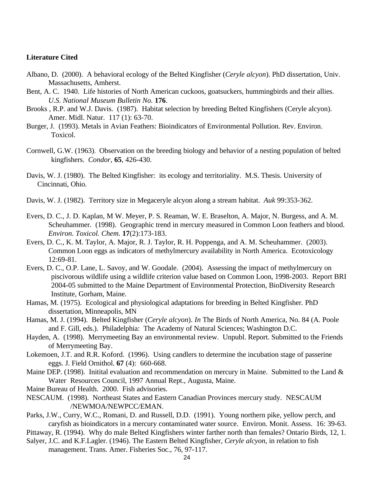## **Literature Cited**

- Albano, D. (2000). A behavioral ecology of the Belted Kingfisher (*Ceryle alcyon*). PhD dissertation, Univ. Massachusetts, Amherst.
- Bent, A. C. 1940. Life histories of North American cuckoos, goatsuckers, hummingbirds and their allies. *U.S. National Museum Bulletin No.* **176**.
- Brooks , R.P. and W.J. Davis. (1987). Habitat selection by breeding Belted Kingfishers (Ceryle alcyon). Amer. Midl. Natur. 117 (1): 63-70.
- Burger, J. (1993). Metals in Avian Feathers: Bioindicators of Environmental Pollution. Rev. Environ. Toxicol.
- Cornwell, G.W. (1963). Observation on the breeding biology and behavior of a nesting population of belted kingfishers. *Condor*, **65**, 426-430.
- Davis, W. J. (1980). The Belted Kingfisher: its ecology and territoriality. M.S. Thesis. University of Cincinnati, Ohio.
- Davis, W. J. (1982). Territory size in Megaceryle alcyon along a stream habitat. *Auk* 99:353-362.
- Evers, D. C., J. D. Kaplan, M W. Meyer, P. S. Reaman, W. E. Braselton, A. Major, N. Burgess, and A. M. Scheuhammer. (1998). Geographic trend in mercury measured in Common Loon feathers and blood. *Environ. Toxicol. Chem*. **17**(2):173-183.
- Evers, D. C., K. M. Taylor, A. Major, R. J. Taylor, R. H. Poppenga, and A. M. Scheuhammer. (2003). Common Loon eggs as indicators of methylmercury availability in North America. Ecotoxicology 12:69-81.
- Evers, D. C., O.P. Lane, L. Savoy, and W. Goodale. (2004). Assessing the impact of methylmercury on piscivorous wildlife using a wildlife criterion value based on Common Loon, 1998-2003. Report BRI 2004-05 submitted to the Maine Department of Environmental Protection, BioDiversity Research Institute, Gorham, Maine.
- Hamas, M. (1975). Ecological and physiological adaptations for breeding in Belted Kingfisher*.* PhD dissertation, Minneapolis, MN
- Hamas, M. J. (1994). Belted Kingfisher (*Ceryle alcyon*). *In* The Birds of North America, No. 84 (A. Poole and F. Gill, eds.). Philadelphia: The Academy of Natural Sciences; Washington D.C.
- Hayden, A. (1998). Merrymeeting Bay an environmental review. Unpubl. Report. Submitted to the Friends of Merrymeeting Bay.
- Lokemoen, J.T. and R.R. Koford. (1996). Using candlers to determine the incubation stage of passerine eggs. J. Field Ornithol. **67** (4): 660-668.
- Maine DEP. (1998). Initital evaluation and recommendation on mercury in Maine. Submitted to the Land & Water Resources Council, 1997 Annual Rept., Augusta, Maine.
- Maine Bureau of Health. 2000. Fish advisories.
- NESCAUM. (1998). Northeast States and Eastern Canadian Provinces mercury study. NESCAUM /NEWMOA/NEWPCC/EMAN.
- Parks, J.W., Curry, W.C., Romani, D. and Russell, D.D. (1991). Young northern pike, yellow perch, and caryfish as bioindicators in a mercury contaminated water source. Environ. Monit. Assess. 16: 39-63.
- Pittaway, R. (1994). Why do male Belted Kingfishers winter farther north than females? Ontario Birds, 12, 1.
- Salyer, J.C. and K.F.Lagler. (1946). The Eastern Belted Kingfisher*, Ceryle alcyon*, in relation to fish
	- management. Trans. Amer. Fisheries Soc., 76, 97-117.